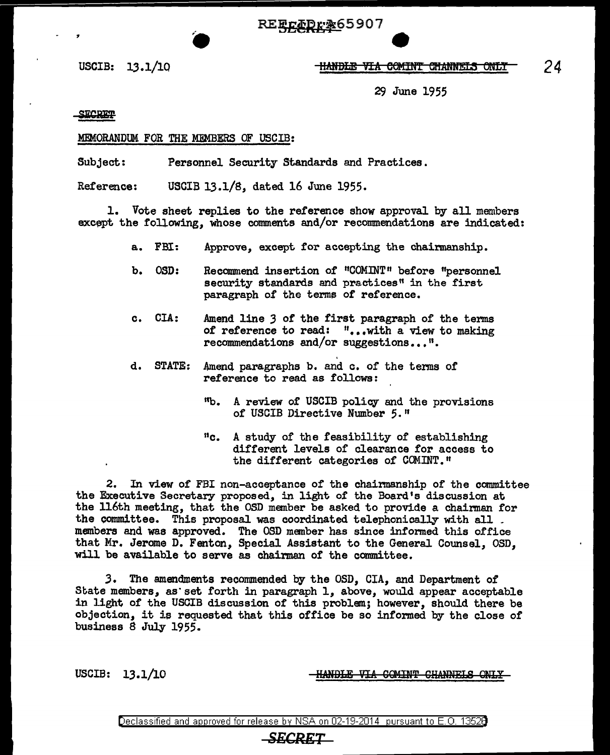REECADr&65907

## USCIB: 13.1/10 **ltanbie via comint channels only**

29 June 1955

SECRET

## MEMORANDUM FOR THE MFMBERS OF USCIB:

Subject: Personnel Security Standards and Practices.

Reference: USCIB 13.1/8, dated 16 June 1955.

1. Vote sheet replies to the reference show approval by all members except the following, whose comments and/or recommendations are indicated:

- a. FBI: Approve, except for accepting the Chairmanship.
- b. OSD: Recommend insertion of "COMINT" before "personnel security standards and practices" in the first paragraph of the terms of reference.
- c. CIA: Amend line 3 of the first paragraph of' the terms of reference to read: "...with a view to making recommendations and/or suggestions...".
- d. STATE: Amend paragraphs b. and c. of the terms of reference to read as follows:
	- <sup>11</sup>b. A review of USCIB policy and the provisions of USCIB Directive Number *5."*
	- "c. A study of the feasibility of establishing different levels of clearance for access to the different categories of COMINT."

2. In view of FBI non-acceptance of the chairmanship of the committee the Executive Secretary proposed, in light of the Board's discussion at the 116th meeting, that the OSD member be asked to provide a chairman for the committee. This proposal was coordinated telephonically with all . members and was approved. The OSD member has since informed this office that Mr. Jerome D. Fenton, Special Assistant to the General Counsel, OSD, will be available to serve as chairman of the committee.

3. The amendments recommended by the OSD, CIA, and Department of State members, as set forth in paragraph 1, above, would appear acceptable in light of the USCIB discussion of this problem; however, should there be objection, it is requested that this office be so informed by the close of' business 8 July 1955.

USCIB: 13.1/10 **HANDLE VIA COMINT CHANNELS ONLY** 

Declassified and approved for release by NSA on 02-19-2014 pursuant to E. 0. 1352B

## *SECRET*

*24*